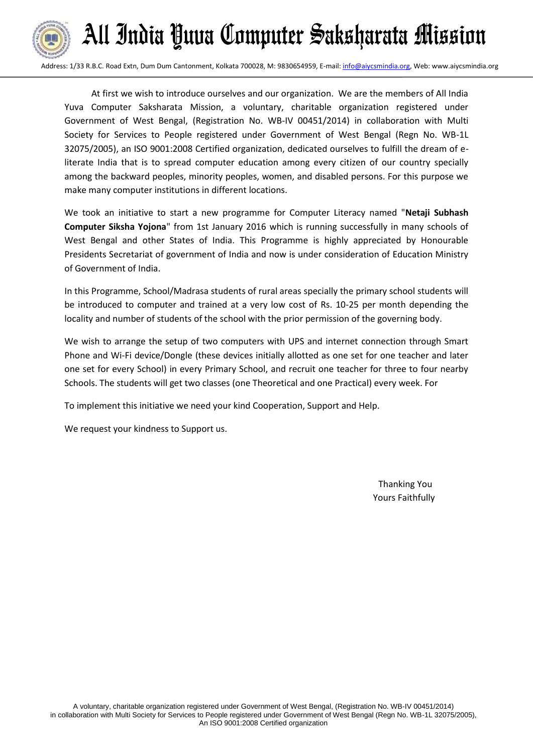

Address: 1/33 R.B.C. Road Extn, Dum Dum Cantonment, Kolkata 700028, M: 9830654959, E-mail[: info@aiycsmindia.org,](mailto:info@aiycsmindia.org) Web: www.aiycsmindia.org

 At first we wish to introduce ourselves and our organization. We are the members of All India Yuva Computer Saksharata Mission, a voluntary, charitable organization registered under Government of West Bengal, (Registration No. WB-IV 00451/2014) in collaboration with Multi Society for Services to People registered under Government of West Bengal (Regn No. WB-1L 32075/2005), an ISO 9001:2008 Certified organization, dedicated ourselves to fulfill the dream of eliterate India that is to spread computer education among every citizen of our country specially among the backward peoples, minority peoples, women, and disabled persons. For this purpose we make many computer institutions in different locations.

We took an initiative to start a new programme for Computer Literacy named "**Netaji Subhash Computer Siksha Yojona**" from 1st January 2016 which is running successfully in many schools of West Bengal and other States of India. This Programme is highly appreciated by Honourable Presidents Secretariat of government of India and now is under consideration of Education Ministry of Government of India.

In this Programme, School/Madrasa students of rural areas specially the primary school students will be introduced to computer and trained at a very low cost of Rs. 10-25 per month depending the locality and number of students of the school with the prior permission of the governing body.

We wish to arrange the setup of two computers with UPS and internet connection through Smart Phone and Wi-Fi device/Dongle (these devices initially allotted as one set for one teacher and later one set for every School) in every Primary School, and recruit one teacher for three to four nearby Schools. The students will get two classes (one Theoretical and one Practical) every week. For

To implement this initiative we need your kind Cooperation, Support and Help.

We request your kindness to Support us.

Thanking You Yours Faithfully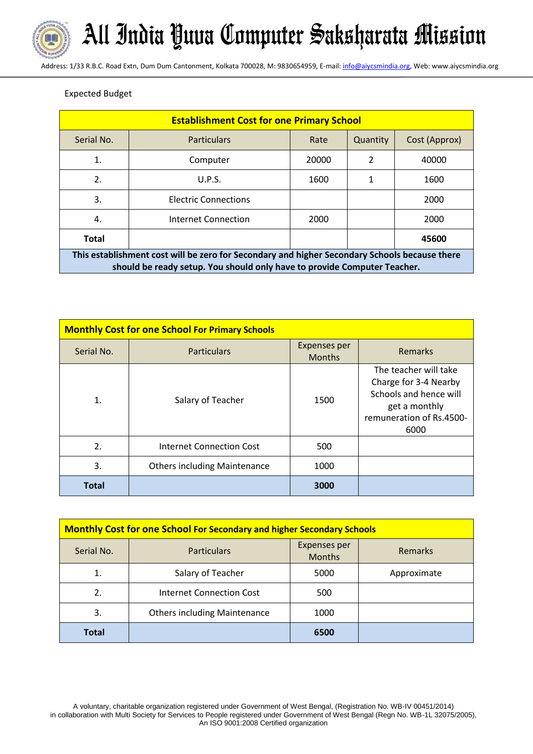

Address: 1/33 R.B.C. Road Extn, Dum Dum Cantonment, Kolkata 700028, M: 9830654959, E-mail[: info@aiycsmindia.org,](mailto:info@aiycsmindia.org) Web: www.aiycsmindia.org

# Expected Budget

| <b>Establishment Cost for one Primary School</b>                                                                                                                          |                             |       |          |               |  |
|---------------------------------------------------------------------------------------------------------------------------------------------------------------------------|-----------------------------|-------|----------|---------------|--|
| Serial No.                                                                                                                                                                | <b>Particulars</b>          | Rate  | Quantity | Cost (Approx) |  |
| 1.                                                                                                                                                                        | Computer                    | 20000 | 2        | 40000         |  |
| 2.                                                                                                                                                                        | U.P.S.                      | 1600  | 1        | 1600          |  |
| 3.                                                                                                                                                                        | <b>Electric Connections</b> |       |          | 2000          |  |
| 4.                                                                                                                                                                        | Internet Connection         | 2000  |          | 2000          |  |
| <b>Total</b><br>45600                                                                                                                                                     |                             |       |          |               |  |
| This establishment cost will be zero for Secondary and higher Secondary Schools because there<br>should be ready setup. You should only have to provide Computer Teacher. |                             |       |          |               |  |

| <b>Monthly Cost for one School For Primary Schools</b> |                                     |                               |                                                                                                                               |  |
|--------------------------------------------------------|-------------------------------------|-------------------------------|-------------------------------------------------------------------------------------------------------------------------------|--|
| Serial No.                                             | <b>Particulars</b>                  | Expenses per<br><b>Months</b> | <b>Remarks</b>                                                                                                                |  |
| $\mathbf 1$ .                                          | Salary of Teacher                   | 1500                          | The teacher will take<br>Charge for 3-4 Nearby<br>Schools and hence will<br>get a monthly<br>remuneration of Rs.4500-<br>6000 |  |
| 2 <sub>1</sub>                                         | Internet Connection Cost            | 500                           |                                                                                                                               |  |
| 3.                                                     | <b>Others including Maintenance</b> | 1000                          |                                                                                                                               |  |
| <b>Total</b>                                           |                                     | 3000                          |                                                                                                                               |  |

| <b>Monthly Cost for one School For Secondary and higher Secondary Schools</b> |                                     |                                      |                |
|-------------------------------------------------------------------------------|-------------------------------------|--------------------------------------|----------------|
| Serial No.                                                                    | <b>Particulars</b>                  | <b>Expenses per</b><br><b>Months</b> | <b>Remarks</b> |
| 1.                                                                            | Salary of Teacher                   | 5000                                 | Approximate    |
| 2.                                                                            | Internet Connection Cost            | 500                                  |                |
| 3.                                                                            | <b>Others including Maintenance</b> | 1000                                 |                |
| <b>Total</b>                                                                  |                                     | 6500                                 |                |

A voluntary, charitable organization registered under Government of West Bengal, (Registration No. WB-IV 00451/2014) in collaboration with Multi Society for Services to People registered under Government of West Bengal (Regn No. WB-1L 32075/2005), An ISO 9001:2008 Certified organization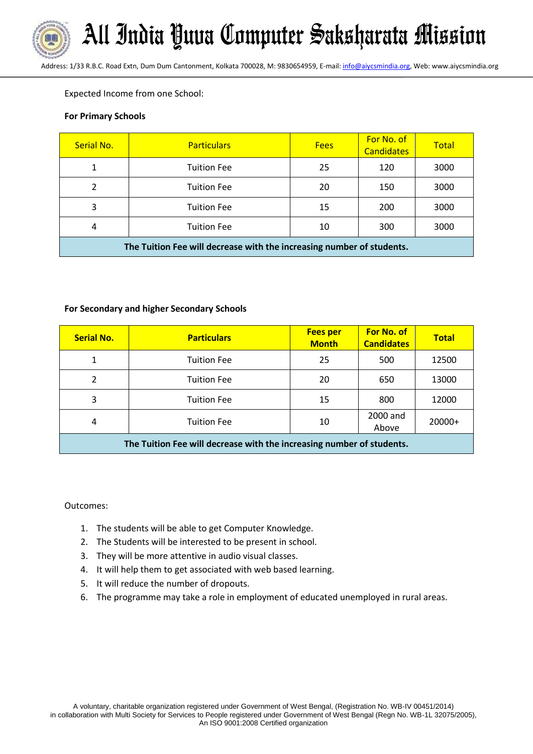Address: 1/33 R.B.C. Road Extn, Dum Dum Cantonment, Kolkata 700028, M: 9830654959, E-mail: *info@aiycsmindia.org*, Web: www.aiycsmindia.org

Expected Income from one School:

## **For Primary Schools**

| Serial No.                                                            | <b>Particulars</b> | <b>Fees</b> | For No. of<br><b>Candidates</b> | <b>Total</b> |
|-----------------------------------------------------------------------|--------------------|-------------|---------------------------------|--------------|
|                                                                       | <b>Tuition Fee</b> | 25          | 120                             | 3000         |
|                                                                       | <b>Tuition Fee</b> | 20          | 150                             | 3000         |
| 3                                                                     | <b>Tuition Fee</b> | 15          | 200                             | 3000         |
| 4                                                                     | <b>Tuition Fee</b> | 10          | 300                             | 3000         |
| The Tuition Fee will decrease with the increasing number of students. |                    |             |                                 |              |

## **For Secondary and higher Secondary Schools**

| <b>Serial No.</b>                                                     | <b>Particulars</b> | <b>Fees per</b><br><b>Month</b> | For No. of<br><b>Candidates</b> | <b>Total</b> |
|-----------------------------------------------------------------------|--------------------|---------------------------------|---------------------------------|--------------|
| 1                                                                     | <b>Tuition Fee</b> | 25                              | 500                             | 12500        |
| 2                                                                     | <b>Tuition Fee</b> | 20                              | 650                             | 13000        |
| 3                                                                     | <b>Tuition Fee</b> | 15                              | 800                             | 12000        |
| 4                                                                     | <b>Tuition Fee</b> | 10                              | 2000 and<br>Above               | 20000+       |
| The Tuition Fee will decrease with the increasing number of students. |                    |                                 |                                 |              |

Outcomes:

- 1. The students will be able to get Computer Knowledge.
- 2. The Students will be interested to be present in school.
- 3. They will be more attentive in audio visual classes.
- 4. It will help them to get associated with web based learning.
- 5. It will reduce the number of dropouts.
- 6. The programme may take a role in employment of educated unemployed in rural areas.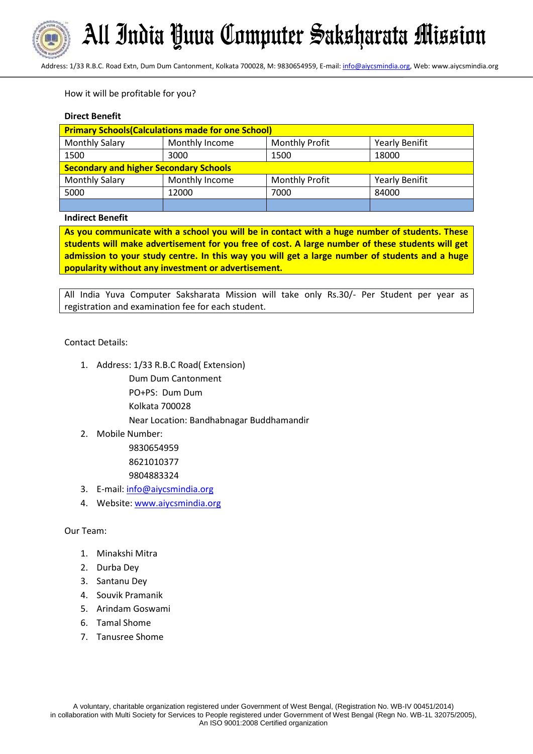

Address: 1/33 R.B.C. Road Extn, Dum Dum Cantonment, Kolkata 700028, M: 9830654959, E-mail[: info@aiycsmindia.org,](mailto:info@aiycsmindia.org) Web: www.aiycsmindia.org

# How it will be profitable for you?

## **Direct Benefit**

| <b>Primary Schools (Calculations made for one School)</b> |                |                       |                       |
|-----------------------------------------------------------|----------------|-----------------------|-----------------------|
| <b>Monthly Salary</b>                                     | Monthly Income | <b>Monthly Profit</b> | <b>Yearly Benifit</b> |
| 1500                                                      | 3000           | 1500                  | 18000                 |
| <b>Secondary and higher Secondary Schools</b>             |                |                       |                       |
| <b>Monthly Salary</b>                                     | Monthly Income | <b>Monthly Profit</b> | <b>Yearly Benifit</b> |
| 5000                                                      | 12000          | 7000                  | 84000                 |
|                                                           |                |                       |                       |

#### **Indirect Benefit**

**As you communicate with a school you will be in contact with a huge number of students. These students will make advertisement for you free of cost. A large number of these students will get admission to your study centre. In this way you will get a large number of students and a huge popularity without any investment or advertisement.**

All India Yuva Computer Saksharata Mission will take only Rs.30/- Per Student per year as registration and examination fee for each student.

# Contact Details:

1. Address: 1/33 R.B.C Road( Extension)

Dum Dum Cantonment

PO+PS: Dum Dum

Kolkata 700028

Near Location: Bandhabnagar Buddhamandir

2. Mobile Number:

9830654959 8621010377 9804883324

- 3. E-mail: [info@aiycsmindia.org](mailto:info@aiycsmindia.org)
- 4. Website[: www.aiycsmindia.org](http://www.aiycsmindia.org/)

Our Team:

- 1. Minakshi Mitra
- 2. Durba Dey
- 3. Santanu Dey
- 4. Souvik Pramanik
- 5. Arindam Goswami
- 6. Tamal Shome
- 7. Tanusree Shome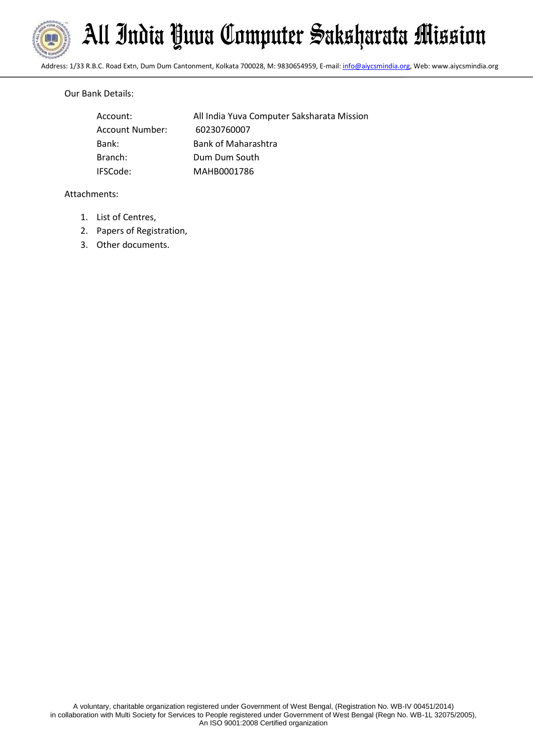

Address: 1/33 R.B.C. Road Extn, Dum Dum Cantonment, Kolkata 700028, M: 9830654959, E-mail[: info@aiycsmindia.org,](mailto:info@aiycsmindia.org) Web: www.aiycsmindia.org

# Our Bank Details:

| Account:        | All India Yuva Computer Saksharata Mission |
|-----------------|--------------------------------------------|
| Account Number: | 60230760007                                |
| Bank:           | <b>Bank of Maharashtra</b>                 |
| Branch:         | Dum Dum South                              |
| IFSCode:        | MAHB0001786                                |

# Attachments:

- 1. List of Centres,
- 2. Papers of Registration,
- 3. Other documents.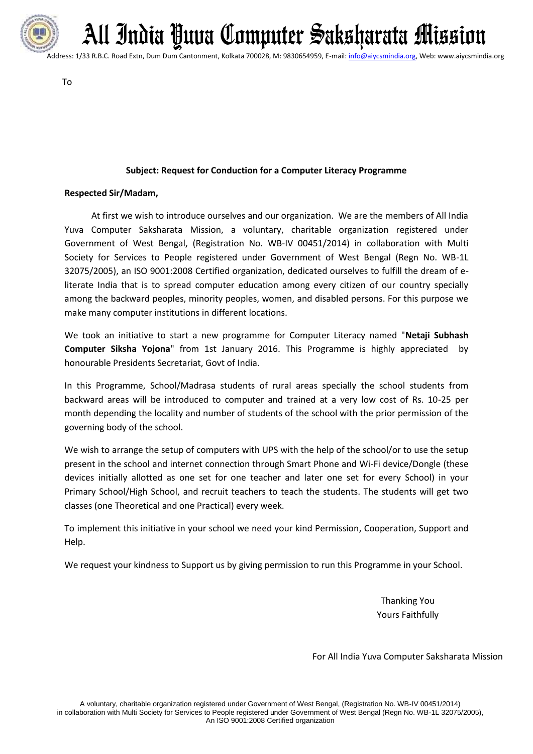

Address: 1/33 R.B.C. Road Extn, Dum Dum Cantonment, Kolkata 700028, M: 9830654959, E-mail[: info@aiycsmindia.org,](mailto:info@aiycsmindia.org) Web: www.aiycsmindia.org

To

# **Subject: Request for Conduction for a Computer Literacy Programme**

# **Respected Sir/Madam,**

 At first we wish to introduce ourselves and our organization. We are the members of All India Yuva Computer Saksharata Mission, a voluntary, charitable organization registered under Government of West Bengal, (Registration No. WB-IV 00451/2014) in collaboration with Multi Society for Services to People registered under Government of West Bengal (Regn No. WB-1L 32075/2005), an ISO 9001:2008 Certified organization, dedicated ourselves to fulfill the dream of eliterate India that is to spread computer education among every citizen of our country specially among the backward peoples, minority peoples, women, and disabled persons. For this purpose we make many computer institutions in different locations.

We took an initiative to start a new programme for Computer Literacy named "**Netaji Subhash Computer Siksha Yojona**" from 1st January 2016. This Programme is highly appreciated by honourable Presidents Secretariat, Govt of India.

In this Programme, School/Madrasa students of rural areas specially the school students from backward areas will be introduced to computer and trained at a very low cost of Rs. 10-25 per month depending the locality and number of students of the school with the prior permission of the governing body of the school.

We wish to arrange the setup of computers with UPS with the help of the school/or to use the setup present in the school and internet connection through Smart Phone and Wi-Fi device/Dongle (these devices initially allotted as one set for one teacher and later one set for every School) in your Primary School/High School, and recruit teachers to teach the students. The students will get two classes (one Theoretical and one Practical) every week.

To implement this initiative in your school we need your kind Permission, Cooperation, Support and Help.

We request your kindness to Support us by giving permission to run this Programme in your School.

Thanking You Yours Faithfully

For All India Yuva Computer Saksharata Mission